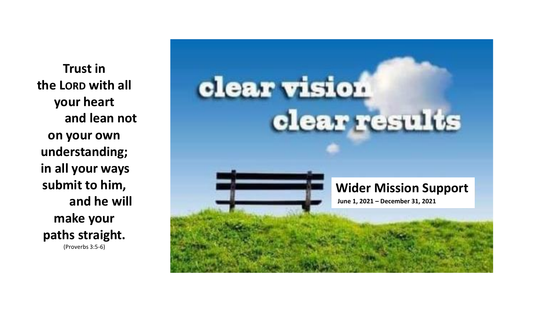**Trust in the LORD with all your heart and lean not on your own understanding; in all your ways submit to him, and he will make your paths straight.** (Proverbs 3:5 -6)

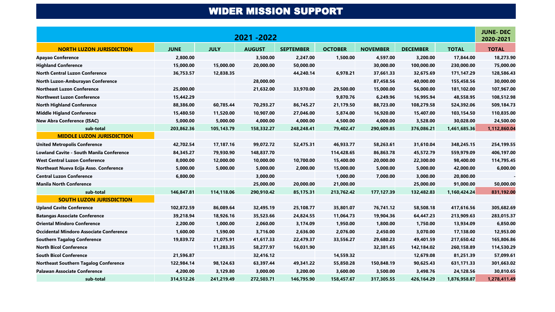#### WIDER MISSION SUPPORT

| 2021 - 2022                                     |             |             |               |                  |                |                 |                 |              | <b>JUNE-DEC</b><br>2020-2021 |
|-------------------------------------------------|-------------|-------------|---------------|------------------|----------------|-----------------|-----------------|--------------|------------------------------|
| <b>NORTH LUZON JURISDICTION</b>                 | <b>JUNE</b> | <b>JULY</b> | <b>AUGUST</b> | <b>SEPTEMBER</b> | <b>OCTOBER</b> | <b>NOVEMBER</b> | <b>DECEMBER</b> | <b>TOTAL</b> | <b>TOTAL</b>                 |
| <b>Apayao Conference</b>                        | 2,800.00    |             | 3,500.00      | 2,247.00         | 1,500.00       | 4,597.00        | 3,200.00        | 17,844.00    | 18,273.90                    |
| <b>Highland Conference</b>                      | 15,000.00   | 15,000.00   | 20,000.00     | 50,000.00        |                | 30,000.00       | 100,000.00      | 230,000.00   | 75,000.00                    |
| <b>North Central Luzon Conference</b>           | 36,753.57   | 12,838.35   |               | 44,240.14        | 6,978.21       | 37,661.33       | 32,675.69       | 171,147.29   | 128,586.43                   |
| North Luzon-Amburayan Conference                |             |             | 28,000.00     |                  |                | 87,458.56       | 40,000.00       | 155,458.56   | 30,000.00                    |
| <b>Northeast Luzon Conference</b>               | 25,000.00   |             | 21,632.00     | 33,970.00        | 29,500.00      | 15,000.00       | 56,000.00       | 181,102.00   | 107,967.00                   |
| <b>Northwest Luzon Conference</b>               | 15,442.29   |             |               |                  | 9,870.76       | 6,249.96        | 16,995.94       | 48,558.95    | 108,512.98                   |
| <b>North Highland Conference</b>                | 88,386.00   | 60,785.44   | 70,293.27     | 86,745.27        | 21,179.50      | 88,723.00       | 108,279.58      | 524,392.06   | 509,184.73                   |
| <b>Middle Higland Conference</b>                | 15,480.50   | 11,520.00   | 10,907.00     | 27,046.00        | 5,874.00       | 16,920.00       | 15,407.00       | 103,154.50   | 110,835.00                   |
| <b>New Abra Conference (ISAC)</b>               | 5,000.00    | 5.000.00    | 4,000.00      | 4,000.00         | 4.500.00       | 4,000.00        | 3,528.00        | 30,028.00    | 24,500.00                    |
| sub-total                                       | 203,862.36  | 105,143.79  | 158,332.27    | 248,248.41       | 79,402.47      | 290,609.85      | 376,086.21      | 1,461,685.36 | 1,112,860.04                 |
| <b>MIDDLE LUZON JURISDICTION</b>                |             |             |               |                  |                |                 |                 |              |                              |
| <b>United Metropolis Conference</b>             | 42,702.54   | 17,187.16   | 99,072.72     | 52,475.31        | 46,933.77      | 58,263.61       | 31,610.04       | 348,245.15   | 254,199.55                   |
| <b>Lowland Cavite - South Manila Conference</b> | 84,345.27   | 79,930.90   | 148,837.70    |                  | 114,428.65     | 86,863.78       | 45,572.79       | 559,979.09   | 406,197.00                   |
| <b>West Central Luzon Conference</b>            | 8,000.00    | 12,000.00   | 10,000.00     | 10,700.00        | 15,400.00      | 20,000.00       | 22,300.00       | 98,400.00    | 114,795.45                   |
| Northeast Nueva Ecija Asso. Conference          | 5,000.00    | 5,000.00    | 5,000.00      | 2,000.00         | 15,000.00      | 5,000.00        | 5,000.00        | 42,000.00    | 6,000.00                     |
| <b>Central Luzon Conference</b>                 | 6,800.00    |             | 3,000.00      |                  | 1,000.00       | 7,000.00        | 3,000.00        | 20,800.00    |                              |
| <b>Manila North Conference</b>                  |             |             | 25,000.00     | 20,000.00        | 21,000.00      |                 | 25,000.00       | 91,000.00    | 50,000.00                    |
| sub-total                                       | 146,847.81  | 114,118.06  | 290,910.42    | 85,175.31        | 213,762.42     | 177,127.39      | 132,482.83      | 1,160,424.24 | 831,192.00                   |
| <b>SOUTH LUZON JURISDICTION</b>                 |             |             |               |                  |                |                 |                 |              |                              |
| <b>Upland Cavite Conference</b>                 | 102,872.59  | 86,089.64   | 32,495.19     | 25,108.77        | 35,801.07      | 76,741.12       | 58,508.18       | 417,616.56   | 305,682.69                   |
| <b>Batangas Associate Conference</b>            | 39,218.94   | 18,926.16   | 35,523.66     | 24,824.55        | 11,064.73      | 19,904.36       | 64,447.23       | 213,909.63   | 283,015.37                   |
| <b>Oriental Mindoro Conference</b>              | 2,200.00    | 1,000.00    | 2,060.00      | 3,174.09         | 1,950.00       | 1,800.00        | 1,750.00        | 13,934.09    | 6,850.00                     |
| <b>Occidental Mindoro Associate Conference</b>  | 1,600.00    | 1,590.00    | 3,716.00      | 2,636.00         | 2,076.00       | 2,450.00        | 3,070.00        | 17,138.00    | 12,953.00                    |
| <b>Southern Tagalog Conference</b>              | 19,839.72   | 21,075.91   | 41,617.33     | 22,479.37        | 33,556.27      | 29,680.23       | 49,401.59       | 217,650.42   | 165,806.86                   |
| <b>North Bicol Conference</b>                   |             | 11,283.35   | 58,277.97     | 16,031.90        |                | 32,381.65       | 142,184.02      | 260,158.89   | 114,530.29                   |
| <b>South Bicol Conference</b>                   | 21,596.87   |             | 32,416.12     |                  | 14,559.32      |                 | 12,679.08       | 81,251.39    | 57,099.61                    |
| <b>Northeast Southern Tagalog Conference</b>    | 122,984.14  | 98,124.63   | 63,397.44     | 49,341.22        | 55,850.28      | 150,848.19      | 90,625.43       | 631,171.33   | 301,663.02                   |
| <b>Palawan Associate Conference</b>             | 4,200.00    | 3,129.80    | 3,000.00      | 3,200.00         | 3,600.00       | 3,500.00        | 3,498.76        | 24,128.56    | 30,810.65                    |
| sub-total                                       | 314,512.26  | 241,219.49  | 272,503.71    | 146,795.90       | 158,457.67     | 317,305.55      | 426,164.29      | 1,876,958.87 | 1,278,411.49                 |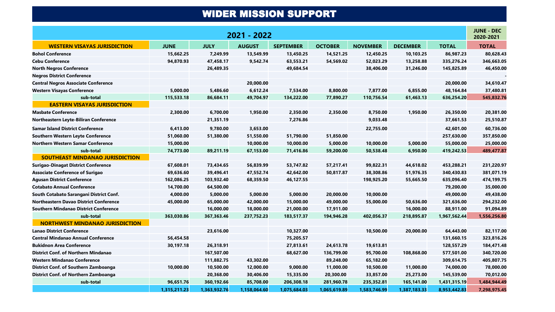## WIDER MISSION SUPPORT

| 2021 - 2022                                   |              |              |               |                  |                |                 |                 | <b>JUNE - DEC</b><br>2020-2021 |              |
|-----------------------------------------------|--------------|--------------|---------------|------------------|----------------|-----------------|-----------------|--------------------------------|--------------|
| <b>WESTERN VISAYAS JURISDICTION</b>           | <b>JUNE</b>  | <b>JULY</b>  | <b>AUGUST</b> | <b>SEPTEMBER</b> | <b>OCTOBER</b> | <b>NOVEMBER</b> | <b>DECEMBER</b> | <b>TOTAL</b>                   | <b>TOTAL</b> |
| <b>Bohol Conference</b>                       | 15,662.25    | 7,249.99     | 13,549.99     | 13,450.25        | 14,521.25      | 12,450.25       | 10,103.25       | 86,987.23                      | 80,628.43    |
| <b>Cebu Conference</b>                        | 94,870.93    | 47,458.17    | 9,542.74      | 63,553.21        | 54,569.02      | 52,023.29       | 13,258.88       | 335,276.24                     | 346,663.05   |
| <b>North Negros Conference</b>                |              | 26,489.35    |               | 49,684.54        |                | 38,406.00       | 31,246.00       | 145,825.89                     | 46,450.00    |
| <b>Negros District Conference</b>             |              |              |               |                  |                |                 |                 |                                |              |
| <b>Central Negros Associate Conference</b>    |              |              | 20,000.00     |                  |                |                 |                 | 20,000.00                      | 34,610.47    |
| <b>Western Visayas Conference</b>             | 5,000.00     | 5,486.60     | 6,612.24      | 7,534.00         | 8,800.00       | 7,877.00        | 6,855.00        | 48,164.84                      | 37,480.81    |
| sub-total                                     | 115,533.18   | 86,684.11    | 49,704.97     | 134,222.00       | 77,890.27      | 110,756.54      | 61,463.13       | 636,254.20                     | 545,832.76   |
| <b>EASTERN VISAYAS JURISDICTION</b>           |              |              |               |                  |                |                 |                 |                                |              |
| <b>Masbate Conference</b>                     | 2,300.00     | 6,700.00     | 1,950.00      | 2,350.00         | 2,350.00       | 8,750.00        | 1,950.00        | 26,350.00                      | 20,381.00    |
| Northeastern Leyte-Biliran Conference         |              | 21,351.19    |               | 7,276.86         |                | 9,033.48        |                 | 37,661.53                      | 25,510.87    |
| <b>Samar Island District Conference</b>       | 6,413.00     | 9,780.00     | 3,653.00      |                  |                | 22,755.00       |                 | 42,601.00                      | 60,736.00    |
| <b>Southern Western Leyte Conference</b>      | 51,060.00    | 51,380.00    | 51,550.00     | 51,790.00        | 51,850.00      |                 |                 | 257,630.00                     | 357,850.00   |
| <b>Northern Western Samar Conference</b>      | 15,000.00    |              | 10,000.00     | 10,000.00        | 5,000.00       | 10,000.00       | 5,000.00        | 55,000.00                      | 25,000.00    |
| sub-total                                     | 74,773.00    | 89,211.19    | 67,153.00     | 71,416.86        | 59,200.00      | 50,538.48       | 6,950.00        | 419,242.53                     | 489,477.87   |
| SOUTHEAST MINDANAO JURISDICTION               |              |              |               |                  |                |                 |                 |                                |              |
| <b>Surigao-Dinagat District Conference</b>    | 67,608.01    | 73,434.65    | 56,839.99     | 53,747.82        | 57,217.41      | 99,822.31       | 44,618.02       | 453,288.21                     | 231,220.97   |
| <b>Associate Conference of Surigao</b>        | 69,636.60    | 39,496.41    | 47,552.74     | 42,642.00        | 50,817.87      | 38,308.86       | 51,976.35       | 340,430.83                     | 381,071.19   |
| <b>Agusan District Conference</b>             | 162,086.25   | 103,932.40   | 68,359.50     | 46,127.55        |                | 198,925.20      | 55,665.50       | 635,096.40                     | 474,199.75   |
| <b>Cotabato Annual Conference</b>             | 14,700.00    | 64,500.00    |               |                  |                |                 |                 | 79,200.00                      | 35,000.00    |
| South Cotabato Sarangani District Conf.       | 4,000.00     | 5,000.00     | 5,000.00      | 5,000.00         | 20,000.00      | 10,000.00       |                 | 49,000.00                      | 49,438.00    |
| <b>Northeastern Davao District Conference</b> | 45,000.00    | 65,000.00    | 42,000.00     | 15,000.00        | 49,000.00      | 55,000.00       | 50,636.00       | 321,636.00                     | 294,232.00   |
| <b>Southern Mindanao District Conference</b>  |              | 16,000.00    | 18,000.00     | 21,000.00        | 17,911.00      |                 | 16,000.00       | 88,911.00                      | 91,094.89    |
| sub-total                                     | 363,030.86   | 367,363.46   | 237,752.23    | 183,517.37       | 194,946.28     | 402,056.37      | 218,895.87      | 1,967,562.44                   | 1,556,256.80 |
| <b>NORTHWEST MINDANAO JURISDICTION</b>        |              |              |               |                  |                |                 |                 |                                |              |
| <b>Lanao District Conference</b>              |              | 23,616.00    |               | 10,327.00        |                | 10,500.00       | 20,000.00       | 64,443.00                      | 82,117.00    |
| <b>Central Mindanao Annual Conference</b>     | 56,454.58    |              |               | 75,205.57        |                |                 |                 | 131,660.15                     | 323,816.26   |
| <b>Bukidnon Area Conference</b>               | 30,197.18    | 26,318.91    |               | 27,813.61        | 24,613.78      | 19,613.81       |                 | 128,557.29                     | 184,471.48   |
| <b>District Conf. of Northern Mindanao</b>    |              | 167,507.00   |               | 68,627.00        | 136,799.00     | 95,700.00       | 108,868.00      | 577,501.00                     | 340,720.00   |
| <b>Western Mindanao Conference</b>            |              | 111,882.75   | 43,302.00     |                  | 89,248.00      | 65,182.00       |                 | 309,614.75                     | 405,807.75   |
| <b>District Conf. of Southern Zamboanga</b>   | 10,000.00    | 10,500.00    | 12,000.00     | 9,000.00         | 11,000.00      | 10,500.00       | 11,000.00       | 74,000.00                      | 78,000.00    |
| <b>District Conf. of Northern Zamboanga</b>   |              | 20,368.00    | 30,406.00     | 15,335.00        | 20,300.00      | 33,857.00       | 25,273.00       | 145,539.00                     | 70,012.00    |
| sub-total                                     | 96,651.76    | 360,192.66   | 85,708.00     | 206,308.18       | 281,960.78     | 235,352.81      | 165,141.00      | 1,431,315.19                   | 1,484,944.49 |
|                                               | 1,315,211.23 | 1,363,932.76 | 1,158,064.60  | 1,075,684.03     | 1,065,619.89   | 1,583,746.99    | 1,387,183.33    | 8,953,442.83                   | 7,298,975.45 |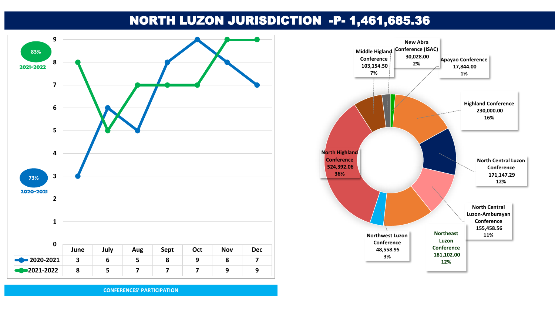# NORTH LUZON JURISDICTION -P- 1,461,685.36



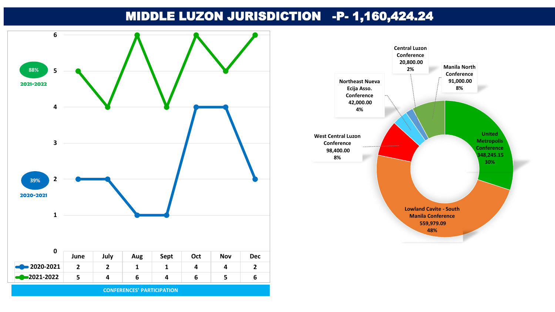# MIDDLE LUZON JURISDICTION -P- 1,160,424.24



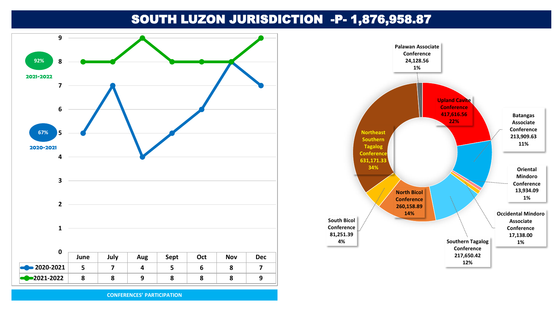# SOUTH LUZON JURISDICTION -P- 1,876,958.87



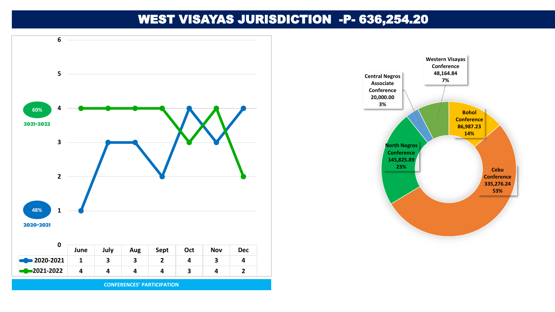## WEST VISAYAS JURISDICTION -P- 636,254.20



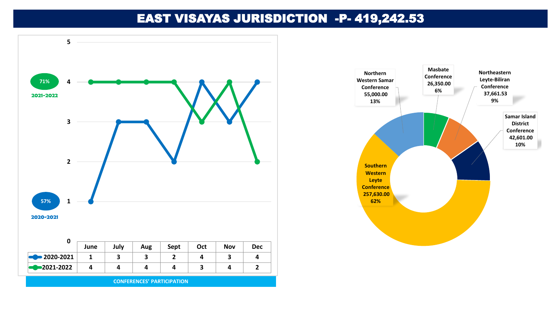# EAST VISAYAS JURISDICTION -P- 419,242.53



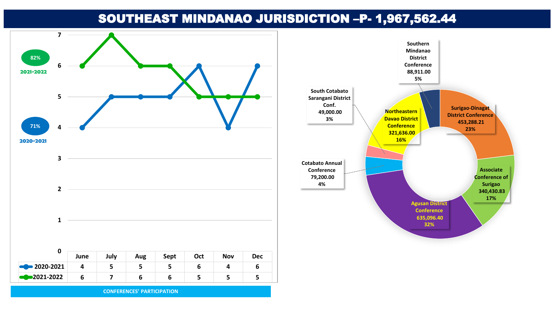## SOUTHEAST MINDANAO JURISDICTION –P- 1,967,562.44



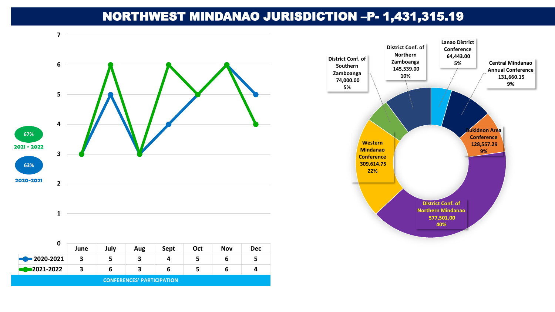# NORTHWEST MINDANAO JURISDICTION –P- 1,431,315.19



| υ                                 | June | July | Aug | Sept | Oct | <b>Nov</b> | <b>Dec</b> |  |  |  |
|-----------------------------------|------|------|-----|------|-----|------------|------------|--|--|--|
| ■ 2020-2021                       |      |      | З   | 4    |     | o          |            |  |  |  |
| 2021-2022                         |      | b    |     | b    |     | o          |            |  |  |  |
| <b>CONFERENCES' PARTICIPATION</b> |      |      |     |      |     |            |            |  |  |  |

**Lanao District Conference 64,443.00 5% Central Mindanao Annual Conference 131,660.15 9% Bukidnon Area Conference 128,557.29 9% District Conf. of Northern Mindanao 577,501.00 40% Western Mindanao Conference 309,614.75 22% District Conf. of Southern Zamboanga 74,000.00 5% District Conf. of Northern Zamboanga 145,539.00 10%**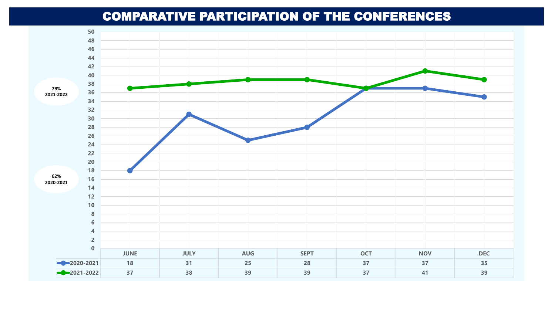## COMPARATIVE PARTICIPATION OF THE CONFERENCES

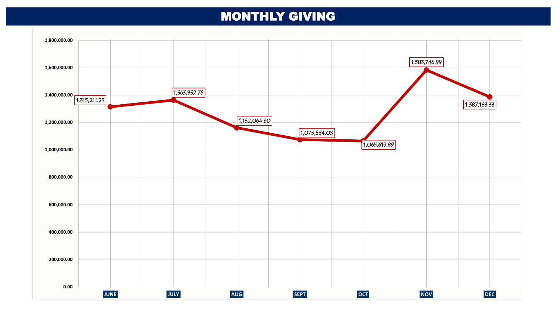## MONTHLY GIVING

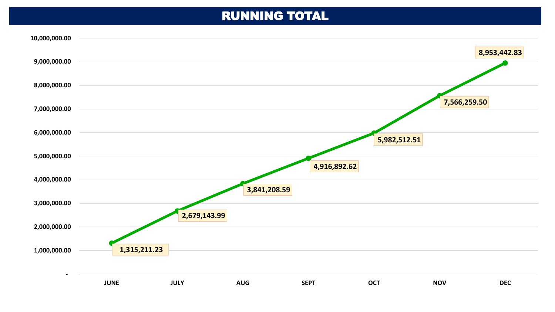## RUNNING TOTAL

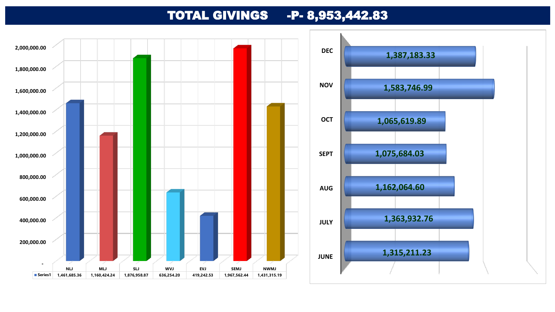# TOTAL GIVINGS -P- 8,953,442.83

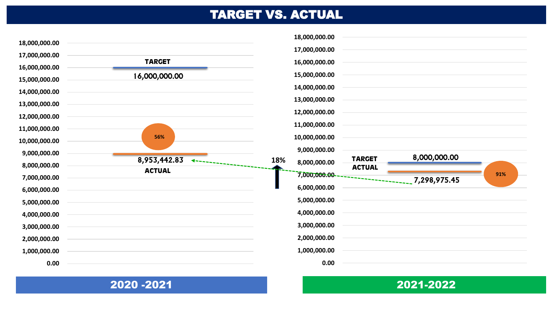# TARGET VS. ACTUAL

| 18,000,000.00 |               |     | 18,000,000.00 |                                |              |     |
|---------------|---------------|-----|---------------|--------------------------------|--------------|-----|
|               |               |     | 17,000,000.00 |                                |              |     |
| 17,000,000.00 | <b>TARGET</b> |     | 16,000,000.00 |                                |              |     |
| 16,000,000.00 | 16,000,000.00 |     | 15,000,000.00 |                                |              |     |
| 15,000,000.00 |               |     | 14,000,000.00 |                                |              |     |
| 14,000,000.00 |               |     | 13,000,000.00 |                                |              |     |
| 13,000,000.00 |               |     |               |                                |              |     |
| 12,000,000.00 |               |     | 12,000,000.00 |                                |              |     |
| 11,000,000.00 |               |     | 11,000,000.00 |                                |              |     |
| 10,000,000.00 | 56%           |     | 10,000,000.00 |                                |              |     |
| 9,000,000.00  |               |     | 9,000,000.00  |                                |              |     |
| 8,000,000.00  | 8,953,442.83  | 18% | 8,000,000.00  | <b>TARGET</b><br><b>ACTUAL</b> | 8,000,000.00 |     |
| 7,000,000.00  | <b>ACTUAL</b> |     | 7,000,000.00  |                                |              | 91% |
| 6,000,000.00  |               |     | 6,000,000.00  |                                | 7,298,975.45 |     |
|               |               |     | 5,000,000.00  |                                |              |     |
| 5,000,000.00  |               |     | 4,000,000.00  |                                |              |     |
| 4,000,000.00  |               |     |               |                                |              |     |
| 3,000,000.00  |               |     | 3,000,000.00  |                                |              |     |
| 2,000,000.00  |               |     | 2,000,000.00  |                                |              |     |
| 1,000,000.00  |               |     | 1,000,000.00  |                                |              |     |
| 0.00          |               |     | 0.00          |                                |              |     |

#### 2020 -2021 2021-2022